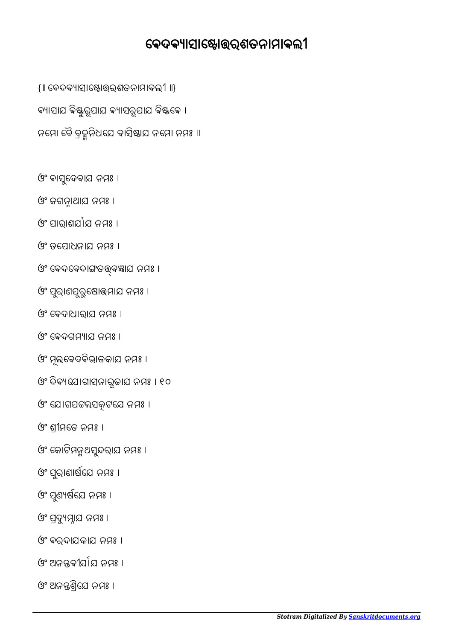ଓଂ ଅନଶିେଯ ନମଃ ।

ଓଂ ଅନନ୍ତ୍ରବୀର୍ଯାଯ ନମଃ ।

ଓଂ ଵରଦାଯକାଯ ନମଃ ।

ଓଂ ପଦୁମାଯ ନମଃ ।

ଓଂ ପୁଣ୍ୟର୍ଷଯେ ନମଃ ।

ଓଂ ପୁରାଣାର୍ଷଯେ ନମଃ ।

ଓଂ କୋଟିମନ୍ମଥସୁନ୍ଦରାଯ ନମଃ ।

ଓଂ ଶୀମେତ ନମଃ ।

ଓଂ ଯୋଗପଟ୍ଟଲସକ୍ଟପେ ନମଃ ।

ଓଂ ଦିଵେଯାଗାସନାରୂଢାଯ ନମଃ । ୧୦

ଓଂ ମୂଲବେଦବିଭାଜକାଯ ନମଃ ।

ଓଂ େଵଦଗମାଯ ନମଃ ।

ଓଂ ପୁରାଣପୁରୁଷୋତ୍ତମାଯ ନମଃ ।

ଓଂ େଵଦାଧାରାଯ ନମଃ ।

ଓଂ ବେଦବେଦାଙ୍ଗତତ୍ତ୍ବଜ୍ଞାଯ ନମଃ ।

ଓଂ ଜଗନାଥାଯ ନମଃ ।

ଓଂ ପାରାଶର୍ଯାଯ ନମଃ ।

ଓଂ ତେପାଧନାଯ ନମଃ ।

ଓଂ ଵାସେଦଵାଯ ନମଃ । ୁ

ବ୍ୟାସାଯ ବିଷ୍ଣୁରୂପାଯ ବ୍ୟାସରୂପାଯ ବିଷ୍ଟବେ । ନମୋ ବୈ ବ୍ରହୁନିଧୟେ ବାସିଷାଯ ନମୋ ନମଃ ॥

{॥ େଵଦଵାସାୋରଶତନାମାଵଲୀ ॥}

## ବେଦବ୍ୟାସାଷ୍ଟୋତ୍ତର୍ରଶତନାମାବଲୀ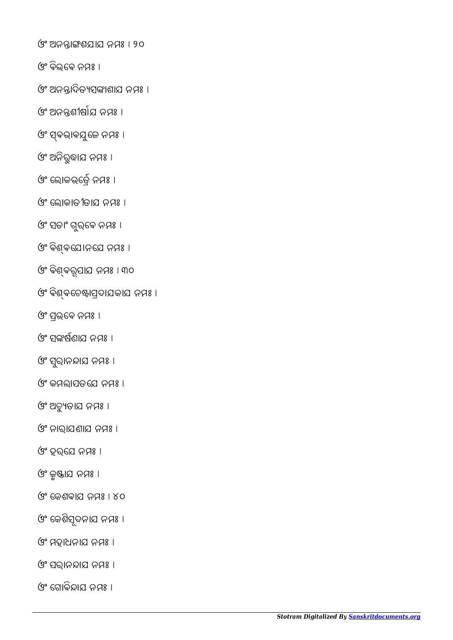ଓଂ ଗୋବିନ୍ଦାଯ ନମଃ ।

- ଓଂ ପରାନାଯ ନମଃ ।
- ଓଂ ମହାଧନାଯ ନମଃ ।
- ଓଂ େକଶିସଦନାଯ ନମଃ । ୂ
- ଓଂ େକଶଵାଯ ନମଃ । ୪୦
- ଓଂ କୃଷ୍ଣାଯ ନମଃ ।
- ଓଂ ହରେଯ ନମଃ ।
- ଓଂ ନାରାଯଣାଯ ନମଃ ।
- ଓଂ ଅଚୁତାଯ ନମଃ ।
- ଓଂ କମଲାପତେଯ ନମଃ ।
- ଓଂ ସୁରାନନ୍ଦାଯ ନମଃ ।
- ଓଂ ସଙ୍କର୍ଷଣାଯ ନମ୍ପଃ ।
- ଓଂ ପଭେଵ ନମଃ ।
- ଓଂ ବିଶ୍ବଚେଷ୍ଟାପ୍ରଦାଯକାଯ ନମଃ ।
- ଓଂ ଵିଵରୂପାଯ ନମଃ । ୩୦
- ଓଂ ଵିଵେଯାନେଯ ନମଃ ।
- ଓଂ ସତାଂ ଗୁର୍ବେ ନମଃ ।
- ଓଂ େଲାକାତୀତାଯ ନମଃ ।
- ଓଂ ଲୋକଭର୍ତ୍ରେ ନମଃ ।
- ଓଂ ଅନିରୁଦ୍ଧାଯ ନମଃ ।
- ଓଂ ସ୍ବଭାବଯୁଜେ ନମଃ ।
- ଓଂ ଅନନ୍ତଶୀର୍ଷାଯ ନମଃ ।
- ଓଂ ଅନନ୍ତାଦିତ୍ୟସଙ୍କାଶାଯ ନମଃ ।
- ଓଂ ଵିଭେଵ ନମଃ ।
- ଓଂ ଅନାଶଯାଯ ନମଃ । ୨୦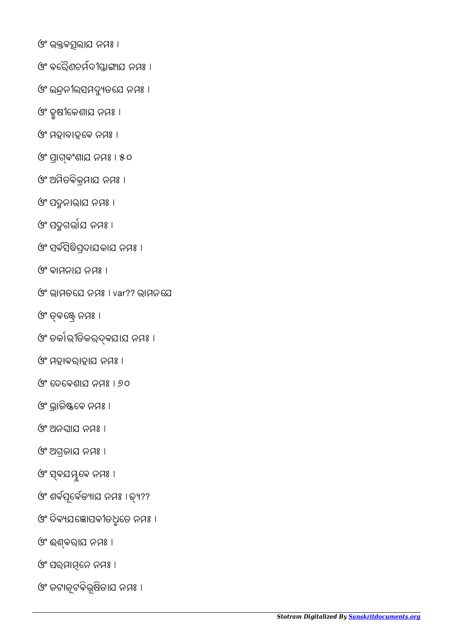ଓଂ ଜଟାଜୂଟଵିଭୂଷିତାଯ ନମଃ ।

ଓଂ ପର୍ଯାମ୍ନନେ ନମଃ ।

ଓଂ ଈଵରାଯ ନମଃ ।

ଓଂ ଦିବ୍ୟଯଞ୍ଜୋପବୀତଧୂତେ ନମଃ ।

ଓଂ ଶର୍ବପୂର୍ବେଡ୍ୟାଯ ନମଃ । ତ୍ୟ??

ଓଂ ସ୍ବଯୟୁବେ ନମଃ ।

ଓଂ ଅଗଜାଯ ନମଃ ।

ଓଂ ଅନଘାଯ ନମଃ ।

ଓଂ ଭ୍ରାଜିଷ୍ଟବେ ନମଃ ।

ଓଂ େଦେଵଶାଯ ନମଃ । ୬୦

ଓଂ ମହାଵରାହାଯ ନମଃ ।

ଓଂ ତର୍କାଭୀତିକର୍ଦ୍ବଯାଯ ନମଃ ।

ଓଂ ଵେ ନମଃ ।

ଓଂ ଭାମତେଯ ନମଃ । var?? ଭାମନେଯ

ଓଂ ଵାମନାଯ ନମଃ ।

ଓଂ ସଵସିିପଦାଯକାଯ ନମଃ ।

ଓଂ ପଦ୍ମଗର୍ଭାଯ ନମଃ ।

ଓଂ ପଦନାଭାଯ ନମଃ ।

ଓଂ ଅମିତଵିକମାଯ ନମଃ ।

ଓଂ ପାଵଂଶାଯ ନମଃ । ୫୦

ଓଂ ମହାବାହେଵ ନମଃ ।

ଓଂ ହୃଷୀେକଶାଯ ନମଃ ।

ଓଂ ଭଵଲାଯ ନମଃ ।

ଓଂ ଇନୀଲସମଦୁତେଯ ନମଃ ।

ଓଂ ବର୍ତ୍ତିଣଚର୍ମଦୀସ୍ତାଙ୍ଗାଯ ନମଃ ।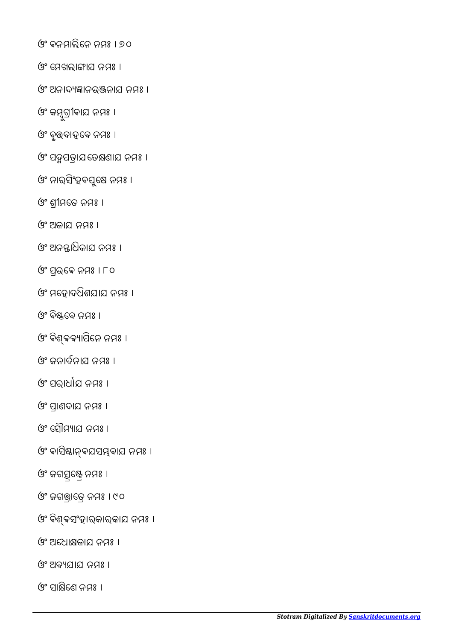ଓଂ ସାକ୍ଷିଣେ ନମ୍ପଃ ।

ଓଂ ଅଵଯାଯ ନମଃ ।

ଓଂ ଅେଧାଜାଯ ନମଃ ।

ଓଂ ଵିଵସଂହାରକାରକାଯ ନମଃ ।

ଓଂ ଜଗାେତ ନମଃ । ୯୦

ଓଂ ଜଗତ୍ସିଷ୍ଟ୍ରେ ନମଃ ।

ଓଂ ବାସିଷାନ୍ବଯସମ୍ଭବାଯ ନମଃ ।

(୨° ମୌମ୍ୟାମ ନମ୍ପଃ ।

ଓଂ ପାଣଦାଯ ନମଃ ।

ଓଂ ପରାଧାଯ ନମଃ ।

ଓଂ ଜନାର୍ଦ୍ଦନାଯ ନମ୍ପଃ ।

ଓଂ ଵିଵଵାପିେନ ନମଃ ।

ଓଂ ଵିେଵ ନମଃ ।

ଓଂ ମେହାଦଧିଶଯାଯ ନମଃ ।

ଓଂ ପଭେଵ ନମଃ । ୮୦

ଓଂ ଅନାଧିକାଯ ନମଃ ।

ଓଂ ଅଜାଯ ନମଃ ।

ଓଂ ଶୀମେତ ନମଃ ।

ଓଂ ନାର୍ସିଂହବପୁଷେ ନମଃ ।

ଓଂ ପଦ୍ମପତ୍ରାଯ ତେକ୍ଷଣାଯ ନମ୍ପଃ ।

ଓଂ ଵୃବାହେଵ ନମଃ ।

ଓଂ କମ୍ବୁଗ୍ରୀବାଯ ନମଃ ।

ଓଂ ଅନାଦାନଭନାଯ ନମଃ ।

ଓଂ ମେଖଲାଙ୍ଗାଯ ନମଃ ।

ଓଂ ଵନମାଲିେନ ନମଃ । ୭୦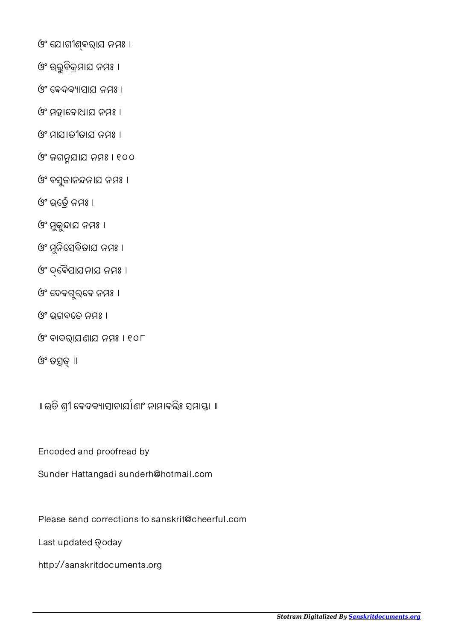*Stotram Digitalized By [Sanskritdocuments.org](http://sanskritdocuments.org/)*

Last updated @oday

Encoded and proofread by

http://sanskritdocuments.org

॥ ଇତି ଶ୍ରୀ ବେଦବ୍ୟାସାଚାର୍ଯାଣାଂ ନାମାବଲିଃ ସମାସ୍ତା ॥

Sunder Hattangadi sunderh@hotmail.com

Please send corrections to sanskrit@cheerful.com

ଓଂ ବାଦରାଯଣାଯ ନମଃ । ୧୦୮

ଓଂ ଭଗଵେତ ନମଃ ।

ଓଂ ତସତ୍ **॥** 

ଓଂ ମୁକୁନ୍ଦାଯ ନମଃ । ଓଂ ମୁନିସେବିତାଯ ନମଃ ।

ଓଂ େଵୖପାଯନାଯ ନମଃ ।

ଓଂ ଦେବଗୁର୍ବେ ନମଃ ।

ଓଂ ଭର୍ତ୍ରେ ନମଃ ।

ଓଂ ମହାେବାଧାଯ ନମଃ ।

ଓଂ ମାଯାତୀତାଯ ନମଃ ।

ଓଂ ଜଗନଯାଯ ନମଃ । ୧୦୦

ଓଂ ଵସଜାନନାଯ ନମଃ । ୁ

ଓଂ େଵଦଵାସାଯ ନମଃ ।

ଓଂ ଉରୁଵିକମାଯ ନମଃ ।

ଓଂ େଯାଗୀଵରାଯ ନମଃ ।